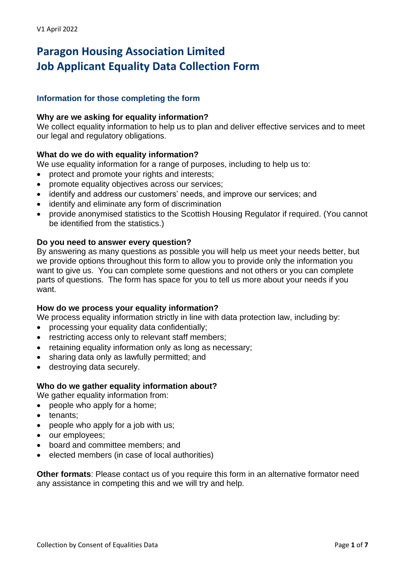# **Paragon Housing Association Limited Job Applicant Equality Data Collection Form**

# **Information for those completing the form**

### **Why are we asking for equality information?**

We collect equality information to help us to plan and deliver effective services and to meet our legal and regulatory obligations.

# **What do we do with equality information?**

We use equality information for a range of purposes, including to help us to:

- protect and promote your rights and interests;
- promote equality objectives across our services;
- identify and address our customers' needs, and improve our services; and
- identify and eliminate any form of discrimination
- provide anonymised statistics to the Scottish Housing Regulator if required. (You cannot be identified from the statistics.)

### **Do you need to answer every question?**

By answering as many questions as possible you will help us meet your needs better, but we provide options throughout this form to allow you to provide only the information you want to give us. You can complete some questions and not others or you can complete parts of questions. The form has space for you to tell us more about your needs if you want.

### **How do we process your equality information?**

We process equality information strictly in line with data protection law, including by:

- processing your equality data confidentially;
- restricting access only to relevant staff members;
- retaining equality information only as long as necessary;
- sharing data only as lawfully permitted; and
- destroying data securely.

### **Who do we gather equality information about?**

We gather equality information from:

- people who apply for a home;
- tenants;
- people who apply for a job with us;
- our employees;
- board and committee members; and
- elected members (in case of local authorities)

**Other formats**: Please contact us of you require this form in an alternative formator need any assistance in competing this and we will try and help.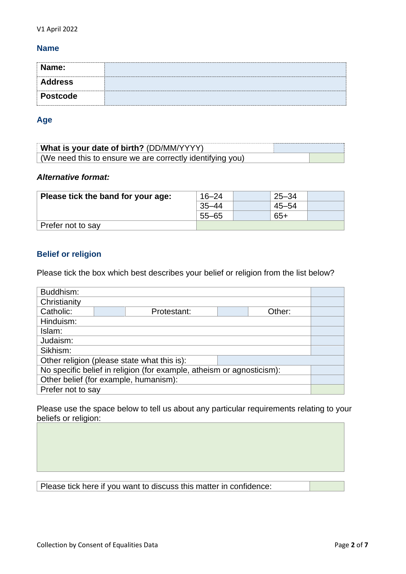### **Name**

| Name:           |  |
|-----------------|--|
| <b>Address</b>  |  |
| <b>Postcode</b> |  |

### **Age**

| What is your date of birth? (DD/MM/YYYY)                  |  |
|-----------------------------------------------------------|--|
| (We need this to ensure we are correctly identifying you) |  |

# *Alternative format:*

| Please tick the band for your age: | $16 - 24$ | $25 - 34$ |  |
|------------------------------------|-----------|-----------|--|
|                                    | $35 - 44$ | $45 - 54$ |  |
|                                    | $55 - 65$ | 65+       |  |
| Prefer not to say                  |           |           |  |

# **Belief or religion**

Please tick the box which best describes your belief or religion from the list below?

| Buddhism:                                                             |  |             |  |        |  |
|-----------------------------------------------------------------------|--|-------------|--|--------|--|
| Christianity                                                          |  |             |  |        |  |
| Catholic:                                                             |  | Protestant: |  | Other: |  |
| Hinduism:                                                             |  |             |  |        |  |
| Islam:                                                                |  |             |  |        |  |
| Judaism:                                                              |  |             |  |        |  |
| Sikhism:                                                              |  |             |  |        |  |
| Other religion (please state what this is):                           |  |             |  |        |  |
| No specific belief in religion (for example, atheism or agnosticism): |  |             |  |        |  |
| Other belief (for example, humanism):                                 |  |             |  |        |  |
| Prefer not to say                                                     |  |             |  |        |  |

Please use the space below to tell us about any particular requirements relating to your beliefs or religion: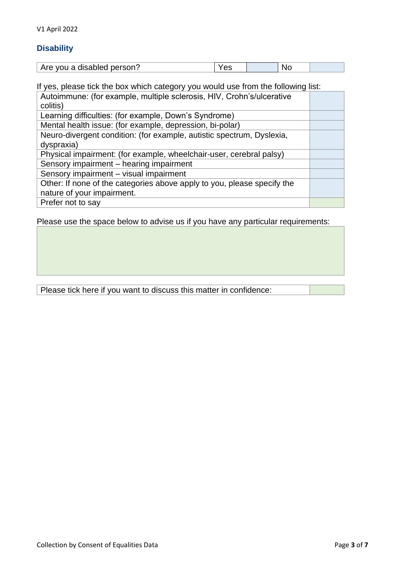# **Disability**

| Are you a disabled person? | vu | ורי<br>◥◡ |  |
|----------------------------|----|-----------|--|

| If yes, please tick the box which category you would use from the following list: |  |  |
|-----------------------------------------------------------------------------------|--|--|
| Autoimmune: (for example, multiple sclerosis, HIV, Crohn's/ulcerative             |  |  |
| colitis)                                                                          |  |  |
| Learning difficulties: (for example, Down's Syndrome)                             |  |  |
| Mental health issue: (for example, depression, bi-polar)                          |  |  |
| Neuro-divergent condition: (for example, autistic spectrum, Dyslexia,             |  |  |
| dyspraxia)                                                                        |  |  |
| Physical impairment: (for example, wheelchair-user, cerebral palsy)               |  |  |
| Sensory impairment - hearing impairment                                           |  |  |
| Sensory impairment - visual impairment                                            |  |  |
| Other: If none of the categories above apply to you, please specify the           |  |  |
| nature of your impairment.                                                        |  |  |
| Prefer not to say                                                                 |  |  |

Please use the space below to advise us if you have any particular requirements: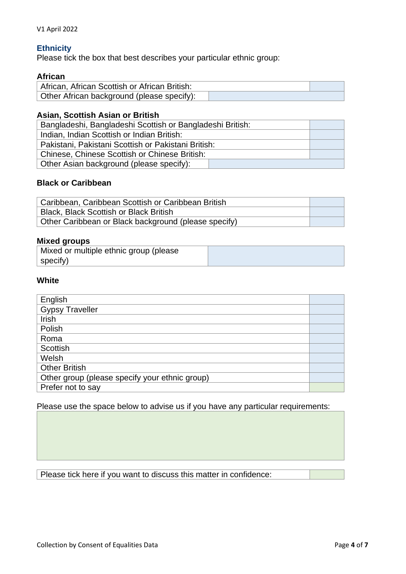### **Ethnicity**

Please tick the box that best describes your particular ethnic group:

### **African**

| African, African Scottish or African British: |  |
|-----------------------------------------------|--|
| Other African background (please specify):    |  |

# **Asian, Scottish Asian or British**

| Bangladeshi, Bangladeshi Scottish or Bangladeshi British: |  |
|-----------------------------------------------------------|--|
| Indian, Indian Scottish or Indian British:                |  |
| Pakistani, Pakistani Scottish or Pakistani British:       |  |
| Chinese, Chinese Scottish or Chinese British:             |  |
| Other Asian background (please specify):                  |  |

### **Black or Caribbean**

| Caribbean, Caribbean Scottish or Caribbean British   |  |
|------------------------------------------------------|--|
| <b>Black, Black Scottish or Black British</b>        |  |
| Other Caribbean or Black background (please specify) |  |

# **Mixed groups**

| Mixed or multiple ethnic group (please |  |
|----------------------------------------|--|
| specify)                               |  |

# **White**

| English                                        |  |
|------------------------------------------------|--|
| <b>Gypsy Traveller</b>                         |  |
| Irish                                          |  |
| Polish                                         |  |
| Roma                                           |  |
| Scottish                                       |  |
| Welsh                                          |  |
| <b>Other British</b>                           |  |
| Other group (please specify your ethnic group) |  |
| Prefer not to say                              |  |

## Please use the space below to advise us if you have any particular requirements: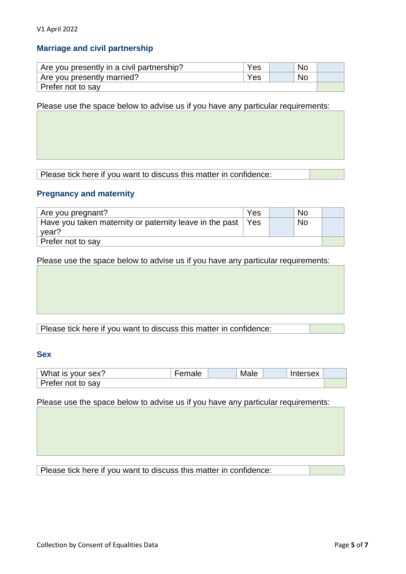# **Marriage and civil partnership**

| Are you presently in a civil partnership? | Yes |  | No. |  |
|-------------------------------------------|-----|--|-----|--|
| Are you presently married?                | Yes |  | No. |  |
| Prefer not to say                         |     |  |     |  |

Please use the space below to advise us if you have any particular requirements:

Please tick here if you want to discuss this matter in confidence:

### **Pregnancy and maternity**

| Are you pregnant?                                             | Yes |  | No        |  |
|---------------------------------------------------------------|-----|--|-----------|--|
| Have you taken maternity or paternity leave in the past   Yes |     |  | <b>No</b> |  |
| year?                                                         |     |  |           |  |
| Prefer not to say                                             |     |  |           |  |

Please use the space below to advise us if you have any particular requirements:

## Please tick here if you want to discuss this matter in confidence:

### **Sex**

| What is your sex? | '−emale | Male | Intersex |  |
|-------------------|---------|------|----------|--|
| Prefer not to say |         |      |          |  |

Please use the space below to advise us if you have any particular requirements: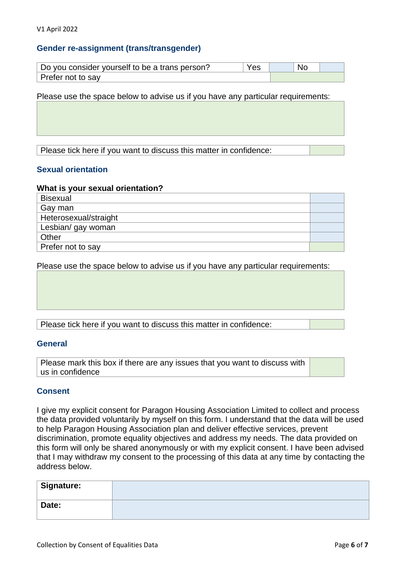### **Gender re-assignment (trans/transgender)**

| Do you consider yourself to be a trans person?<br>Yes |  | No |  |
|-------------------------------------------------------|--|----|--|
| Prefer not to say                                     |  |    |  |

Please use the space below to advise us if you have any particular requirements:

Please tick here if you want to discuss this matter in confidence:

#### **Sexual orientation**

#### **What is your sexual orientation?**

| <b>Bisexual</b>       |  |
|-----------------------|--|
| Gay man               |  |
| Heterosexual/straight |  |
| Lesbian/ gay woman    |  |
| Other                 |  |
| Prefer not to say     |  |

Please use the space below to advise us if you have any particular requirements:

Please tick here if you want to discuss this matter in confidence:

#### **General**

Please mark this box if there are any issues that you want to discuss with us in confidence

#### **Consent**

I give my explicit consent for Paragon Housing Association Limited to collect and process the data provided voluntarily by myself on this form. I understand that the data will be used to help Paragon Housing Association plan and deliver effective services, prevent discrimination, promote equality objectives and address my needs. The data provided on this form will only be shared anonymously or with my explicit consent. I have been advised that I may withdraw my consent to the processing of this data at any time by contacting the address below.

| <sup>∣</sup> Signature: |  |
|-------------------------|--|
| Date:                   |  |